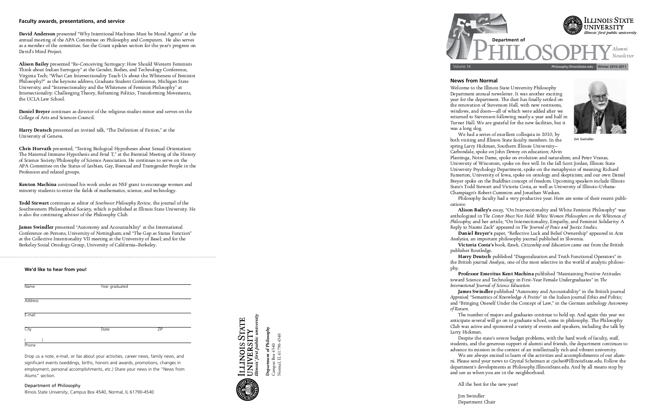# **News from Normal**

**Victoria Costa's** book, *Rawls, Citizenship and Education* came out from the British publisher Routledge.<br> **Harry Deutsch** published "Diagonalization and Truth Functional Operators" in

Champiagn's Robert Cummins and Jonathan Waskan. Philosophy faculty had a very productive year. Here are some of their recent publi -

cations:<br> **Alison Bailey's** essay, "On Intersectionality and White Feminist Philosophy" was anthologized in The Center Must Not Hold: White Women Philosophers on the Whiteness of Philosophy; and her article, "On Intersectionality, Empathy, and Feminist Solidarity: A Reply to Naomi Zack" appeared in The Journal of Peace and Justice Studies.

anticipate several will go on to graduate school, some in philosophy. The Philosophy anticipate several will go on to graduate second, some in philosophy. The Thusseletted Second Later school is Club was active and sponsored a variety of events and speakers, including the talk by

Reply to Naomi Zack" appeared in *The Journal of Peace and Justice Studies* . Analytica, an important philosophy journal published in Slovenia. *Analytica,* an important philosophy journal published in Slovenia.

Larry Hickman.<br>Despite the state's severe budget problems, with the hard work of faculty, staff, students, and the generous support of alumni and friends, the department continues to advance its mission in the context of an intellectually rich and vibrant university. We are always excited to learn of the activities and accomplishments of our alum-We are always excited to learn of the activities and accomplishments of our alum department's developments at Philosophy.IllinoisState.edu. And by all means stop by department's developments at Philosophy.IllinoisState.edu. And by all means stop by and see us when you are in the neighborhood.

**David Anderson** presented "Why Intentional Machines Must be Moral Agents" at the annual meeting of the APA Committee on Philosophy and Computers. He also serves  $\alpha$  meating of the APA Committee on Philosophy and Computers. He also serves  $\alpha$ as a member of the committee, see the Grant updates section for the year's progress on David's Mind Project.

> **Harry Deutsch** published "Diagonalization and Truth Functional Operators" in the British journal *Analysis,* one of the most selective in the world of analytic philoso -

phy.<br>**Professor Emeritus Kent Machina** published "Maintaining Positive Attitudes toward Science and Technology in First-Year Female Undergraduates" in The International Journal of Science Education.

Alison Bailey presented "Re-Conceiving Surrogacy: How Should Western Feminists<br>Think about Indian Surrogacy" at the Gender, Bodies, and Technology Conference, Virginia Tech; "What Can Intersectionality Teach Us about the Whiteness of Feminist Philosophy?" as the keynote address, Graduate Student Conference, Michigan State University; and "Intersectionality and the Whiteness of Feminist Philosophy" at University; and "Intersectionality and the Winterless of Feminist Philosophy" at Intersectionality: Challenging Theory, Reframing Politics, Transforming Movements, the UCLA Law School.

> *International Journal of Science Education* . Appraisal; "Semantics of Knowledge A Positio" in the Italian journal Ethics and Politics; *Appraisal;* "Semantics of Knowledge *A Positio*" in the Italian journal *Ethics and Politics;*  and "Bringing Oneself Under the Concept of Law," in the German anthology *Autonomy*

*of Reason* .

**Chris Horvath** presented, "Testing Biological Hypotheses about Sexual Orientation:<br>The Maternal Immune Hypothesis and Fetal T," at the Biennial Meeting of the History of Science Society/Philosophy of Science Association. He continues to serve on the of Science Society/Philosophy of Science Association. He continues to serve on the APA Committee on the Status of Lesbian, Gay, Bisexual and Transgender People in the Profession and related groups.

**Kenton Machina** continued his work under an NSF grant to encourage women and minority students to enter the fields of mathematics, science, and technology.

**James Swindler** presented "Autonomy and Accountability" at the International Conference on Persons, University of Nottingham; and "The Gap as Status Function" at the Collective Intentionality VII meeting at the University of Basel; and for the at the Collective Intentionality VII meeting at the University of Basel; and for the<br>Dealerline Central Outelesse Currier Huterwrites of Colifornia Dealerline Berkeley Social Ontology Group, University of California–Berkeley.

All the best for the new year!

Jim Swindler Department Chair

Welcome to the Illinois State University Philosophy<br>Department annual newsletter. It was another exciting year for the department. The dust has finally settled on the renovation of Stevenson Hall, with new restrooms, windows, and doors-all of which were added after we returned to Stevenson following nearly a year and half in returned to Stevenson following nearly a year and half in Turner Hall. We are grateful for the new facilities, but it was a long slog.<br>We had a series of excellent colloquia in 2010, by

both visiting and Illinois State faculty members. In the spring Larry Hickman, Southern Illinois University-Carbondale, spoke on John Dewey on education; Alvin



**Jim Swindler** 

Plantinga, Notre Dame, spoke on evolution and naturalism; and Peter Vranas, University of Wisconsin, spoke on free will. In the fall Scott Jordan, Illinois State University Psychology Department, spoke on the metaphysics of meaning; Richard Fumerton, University of Iowa, spoke on ontology and skepticism; and our own Daniel Breyer spoke on the Buddhist concept of freedom. Upcoming speakers include Illinois State's Todd Stewart and Victoria Costa, as well as University of Illinois-Urbana-Champiagn's Robert Cummins and Jonathan Waskan.

**Department of Philosophy** Department of Philosophy Campus Box 4540<br>Normal, IL 61790-4540 Normal, IL 61790-4540 Campus Box 4540



# **Faculty awards, presentations, and service**

**Daniel Breyer** continues as director of the religious studies minor and serves on the College of Arts and Sciences Council.

**Harry Deutsch** presented an invited talk, "The Definition of Fiction," at the University of Geneva.

**Todd Stewart** continues as editor of *Southwest Philosophy Review,* the journal of the Southwestern Philosophical Society, which is published at Illinois State University. He is also the continuing advisor of the Philosophy Club.

# **We'd like to hear from you!**

| Name           | Year graduated |     |
|----------------|----------------|-----|
| <b>Address</b> |                |     |
| E-mail         |                |     |
| City           | State          | ZIP |
| Phone          |                |     |

Drop us a note, e-mail, or fax about your activities, career news, family news, and significant events (weddings, births, honors and awards, promotions, changes in employment, personal accomplishments, etc.) Share your news in the "News from Alums" section.

Department of Philosophy Illinois State University, Campus Box 4540, Normal, IL 61790-4540